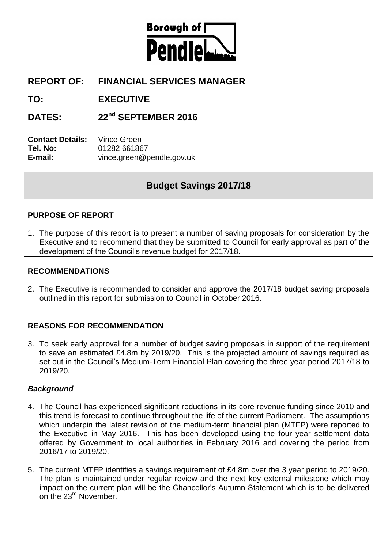

# **REPORT OF: FINANCIAL SERVICES MANAGER**

**TO: EXECUTIVE**

**DATES: 22nd SEPTEMBER 2016**

**Contact Details:** Vince Green **Tel. No:** 01282 661867 **E-mail:** vince.green@pendle.gov.uk

# **Budget Savings 2017/18**

#### **PURPOSE OF REPORT**

1. The purpose of this report is to present a number of saving proposals for consideration by the Executive and to recommend that they be submitted to Council for early approval as part of the development of the Council's revenue budget for 2017/18.

#### **RECOMMENDATIONS**

2. The Executive is recommended to consider and approve the 2017/18 budget saving proposals outlined in this report for submission to Council in October 2016.

#### **REASONS FOR RECOMMENDATION**

3. To seek early approval for a number of budget saving proposals in support of the requirement to save an estimated £4.8m by 2019/20. This is the projected amount of savings required as set out in the Council's Medium-Term Financial Plan covering the three year period 2017/18 to 2019/20.

#### *Background*

- 4. The Council has experienced significant reductions in its core revenue funding since 2010 and this trend is forecast to continue throughout the life of the current Parliament. The assumptions which underpin the latest revision of the medium-term financial plan (MTFP) were reported to the Executive in May 2016. This has been developed using the four year settlement data offered by Government to local authorities in February 2016 and covering the period from 2016/17 to 2019/20.
- 5. The current MTFP identifies a savings requirement of £4.8m over the 3 year period to 2019/20. The plan is maintained under regular review and the next key external milestone which may impact on the current plan will be the Chancellor's Autumn Statement which is to be delivered on the 23<sup>rd</sup> November.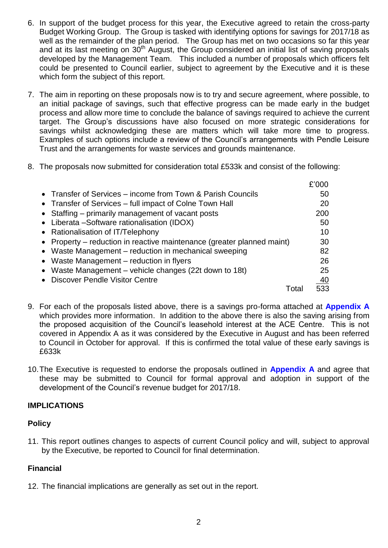- 6. In support of the budget process for this year, the Executive agreed to retain the cross-party Budget Working Group. The Group is tasked with identifying options for savings for 2017/18 as well as the remainder of the plan period. The Group has met on two occasions so far this year and at its last meeting on 30<sup>th</sup> August, the Group considered an initial list of saving proposals developed by the Management Team. This included a number of proposals which officers felt could be presented to Council earlier, subject to agreement by the Executive and it is these which form the subject of this report.
- 7. The aim in reporting on these proposals now is to try and secure agreement, where possible, to an initial package of savings, such that effective progress can be made early in the budget process and allow more time to conclude the balance of savings required to achieve the current target. The Group's discussions have also focused on more strategic considerations for savings whilst acknowledging these are matters which will take more time to progress. Examples of such options include a review of the Council's arrangements with Pendle Leisure Trust and the arrangements for waste services and grounds maintenance.
- 8. The proposals now submitted for consideration total £533k and consist of the following:

|                                                                        | £'000 |
|------------------------------------------------------------------------|-------|
| • Transfer of Services – income from Town & Parish Councils            | 50    |
| • Transfer of Services – full impact of Colne Town Hall                | 20    |
| • Staffing – primarily management of vacant posts                      | 200   |
| • Liberata - Software rationalisation (IDOX)                           | 50    |
| • Rationalisation of IT/Telephony                                      | 10    |
| • Property – reduction in reactive maintenance (greater planned maint) | 30    |
| • Waste Management – reduction in mechanical sweeping                  | 82    |
| • Waste Management – reduction in flyers                               | 26    |
| • Waste Management – vehicle changes (22t down to 18t)                 | 25    |
| • Discover Pendle Visitor Centre                                       | 40    |
|                                                                        |       |

- 9. For each of the proposals listed above, there is a savings pro-forma attached at **Appendix A** which provides more information. In addition to the above there is also the saving arising from the proposed acquisition of the Council's leasehold interest at the ACE Centre. This is not covered in Appendix A as it was considered by the Executive in August and has been referred to Council in October for approval. If this is confirmed the total value of these early savings is £633k
- 10.The Executive is requested to endorse the proposals outlined in **Appendix A** and agree that these may be submitted to Council for formal approval and adoption in support of the development of the Council's revenue budget for 2017/18.

#### **IMPLICATIONS**

#### **Policy**

11. This report outlines changes to aspects of current Council policy and will, subject to approval by the Executive, be reported to Council for final determination.

#### **Financial**

12. The financial implications are generally as set out in the report.